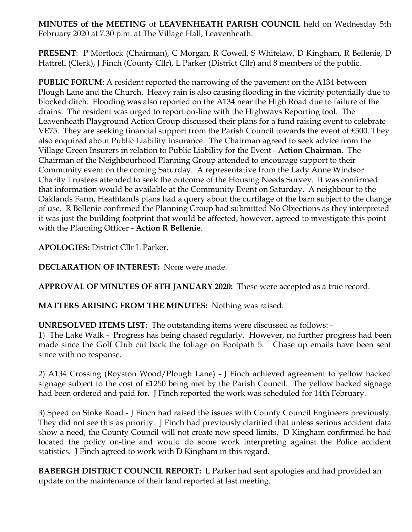**MINUTES of the MEETING** of **LEAVENHEATH PARISH COUNCIL** held on Wednesday 5th February 2020 at 7.30 p.m. at The Village Hall, Leavenheath.

**PRESENT**: P Mortlock (Chairman), C Morgan, R Cowell, S Whitelaw, D Kingham, R Bellenie, D Hattrell (Clerk), J Finch (County Cllr), L Parker (District Cllr) and 8 members of the public.

**PUBLIC FORUM**: A resident reported the narrowing of the pavement on the A134 between Plough Lane and the Church. Heavy rain is also causing flooding in the vicinity potentially due to blocked ditch. Flooding was also reported on the A134 near the High Road due to failure of the drains. The resident was urged to report on-line with the Highways Reporting tool. The Leavenheath Playground Action Group discussed their plans for a fund raising event to celebrate VE75. They are seeking financial support from the Parish Council towards the event of £500. They also enquired about Public Liability Insurance. The Chairman agreed to seek advice from the Village Green Insurers in relation to Public Liability for the Event - **Action Chairman**. The Chairman of the Neighbourhood Planning Group attended to encourage support to their Community event on the coming Saturday. A representative from the Lady Anne Windsor Charity Trustees attended to seek the outcome of the Housing Needs Survey. It was confirmed that information would be available at the Community Event on Saturday. A neighbour to the Oaklands Farm, Heathlands plans had a query about the curtilage of the barn subject to the change of use. R Bellenie confirmed the Planning Group had submitted No Objections as they interpreted it was just the building footprint that would be affected, however, agreed to investigate this point with the Planning Officer - **Action R Bellenie**.

**APOLOGIES:** District Cllr L Parker.

**DECLARATION OF INTEREST:** None were made.

**APPROVAL OF MINUTES OF 8TH JANUARY 2020:** These were accepted as a true record.

**MATTERS ARISING FROM THE MINUTES:** Nothing was raised.

**UNRESOLVED ITEMS LIST:** The outstanding items were discussed as follows: -

1) The Lake Walk - Progress has being chased regularly. However, no further progress had been made since the Golf Club cut back the foliage on Footpath 5. Chase up emails have been sent since with no response.

2) A134 Crossing (Royston Wood/Plough Lane) - J Finch achieved agreement to yellow backed signage subject to the cost of £1250 being met by the Parish Council. The yellow backed signage had been ordered and paid for. J Finch reported the work was scheduled for 14th February.

3) Speed on Stoke Road - J Finch had raised the issues with County Council Engineers previously. They did not see this as priority. J Finch had previously clarified that unless serious accident data show a need, the County Council will not create new speed limits. D Kingham confirmed he had located the policy on-line and would do some work interpreting against the Police accident statistics. J Finch agreed to work with D Kingham in this regard.

**BABERGH DISTRICT COUNCIL REPORT:** L Parker had sent apologies and had provided an update on the maintenance of their land reported at last meeting.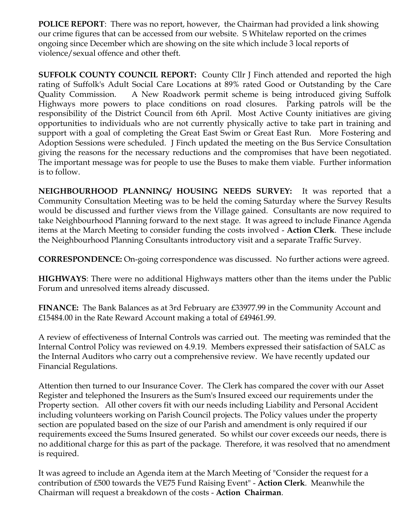**POLICE REPORT**: There was no report, however, the Chairman had provided a link showing our crime figures that can be accessed from our website. S Whitelaw reported on the crimes ongoing since December which are showing on the site which include 3 local reports of violence/sexual offence and other theft.

**SUFFOLK COUNTY COUNCIL REPORT:** County Cllr J Finch attended and reported the high rating of Suffolk's Adult Social Care Locations at 89% rated Good or Outstanding by the Care Quality Commission. A New Roadwork permit scheme is being introduced giving Suffolk Highways more powers to place conditions on road closures. Parking patrols will be the responsibility of the District Council from 6th April. Most Active County initiatives are giving opportunities to individuals who are not currently physically active to take part in training and support with a goal of completing the Great East Swim or Great East Run. More Fostering and Adoption Sessions were scheduled. J Finch updated the meeting on the Bus Service Consultation giving the reasons for the necessary reductions and the compromises that have been negotiated. The important message was for people to use the Buses to make them viable. Further information is to follow.

**NEIGHBOURHOOD PLANNING/ HOUSING NEEDS SURVEY:** It was reported that a Community Consultation Meeting was to be held the coming Saturday where the Survey Results would be discussed and further views from the Village gained. Consultants are now required to take Neighbourhood Planning forward to the next stage. It was agreed to include Finance Agenda items at the March Meeting to consider funding the costs involved - **Action Clerk**. These include the Neighbourhood Planning Consultants introductory visit and a separate Traffic Survey.

**CORRESPONDENCE:** On-going correspondence was discussed. No further actions were agreed.

**HIGHWAYS**: There were no additional Highways matters other than the items under the Public Forum and unresolved items already discussed.

**FINANCE:** The Bank Balances as at 3rd February are £33977.99 in the Community Account and £15484.00 in the Rate Reward Account making a total of £49461.99.

A review of effectiveness of Internal Controls was carried out. The meeting was reminded that the Internal Control Policy was reviewed on 4.9.19. Members expressed their satisfaction of SALC as the Internal Auditors who carry out a comprehensive review. We have recently updated our Financial Regulations.

Attention then turned to our Insurance Cover. The Clerk has compared the cover with our Asset Register and telephoned the Insurers as the Sum's Insured exceed our requirements under the Property section. All other covers fit with our needs including Liability and Personal Accident including volunteers working on Parish Council projects. The Policy values under the property section are populated based on the size of our Parish and amendment is only required if our requirements exceed the Sums Insured generated. So whilst our cover exceeds our needs, there is no additional charge for this as part of the package. Therefore, it was resolved that no amendment is required.

It was agreed to include an Agenda item at the March Meeting of "Consider the request for a contribution of £500 towards the VE75 Fund Raising Event" - **Action Clerk**. Meanwhile the Chairman will request a breakdown of the costs - **Action Chairman**.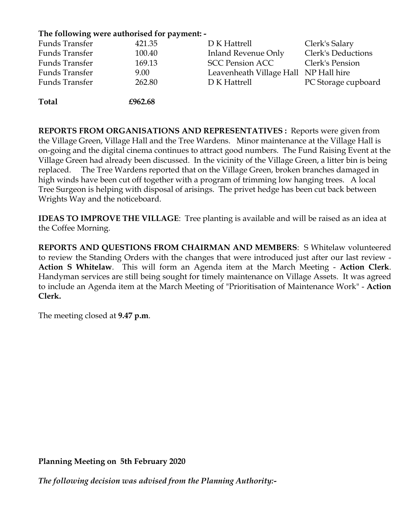## **The following were authorised for payment: -**

| Funds Transfer        | 421.35  | D K Hattrell                          | Clerk's Salary            |
|-----------------------|---------|---------------------------------------|---------------------------|
| Funds Transfer        | 100.40  | Inland Revenue Only                   | <b>Clerk's Deductions</b> |
| Funds Transfer        | 169.13  | <b>SCC Pension ACC</b>                | Clerk's Pension           |
| Funds Transfer        | 9.00    | Leavenheath Village Hall NP Hall hire |                           |
| <b>Funds Transfer</b> | 262.80  | D K Hattrell                          | PC Storage cupboard       |
| <b>Total</b>          | £962.68 |                                       |                           |

**REPORTS FROM ORGANISATIONS AND REPRESENTATIVES :** Reports were given from the Village Green, Village Hall and the Tree Wardens. Minor maintenance at the Village Hall is on-going and the digital cinema continues to attract good numbers. The Fund Raising Event at the Village Green had already been discussed. In the vicinity of the Village Green, a litter bin is being replaced. The Tree Wardens reported that on the Village Green, broken branches damaged in high winds have been cut off together with a program of trimming low hanging trees. A local Tree Surgeon is helping with disposal of arisings. The privet hedge has been cut back between Wrights Way and the noticeboard.

**IDEAS TO IMPROVE THE VILLAGE**: Tree planting is available and will be raised as an idea at the Coffee Morning.

**REPORTS AND QUESTIONS FROM CHAIRMAN AND MEMBERS**: S Whitelaw volunteered to review the Standing Orders with the changes that were introduced just after our last review - **Action S Whitelaw**. This will form an Agenda item at the March Meeting - **Action Clerk**. Handyman services are still being sought for timely maintenance on Village Assets. It was agreed to include an Agenda item at the March Meeting of "Prioritisation of Maintenance Work" - **Action Clerk.** 

The meeting closed at **9.47 p.m**.

**Planning Meeting on 5th February 2020**

*The following decision was advised from the Planning Authority:-*